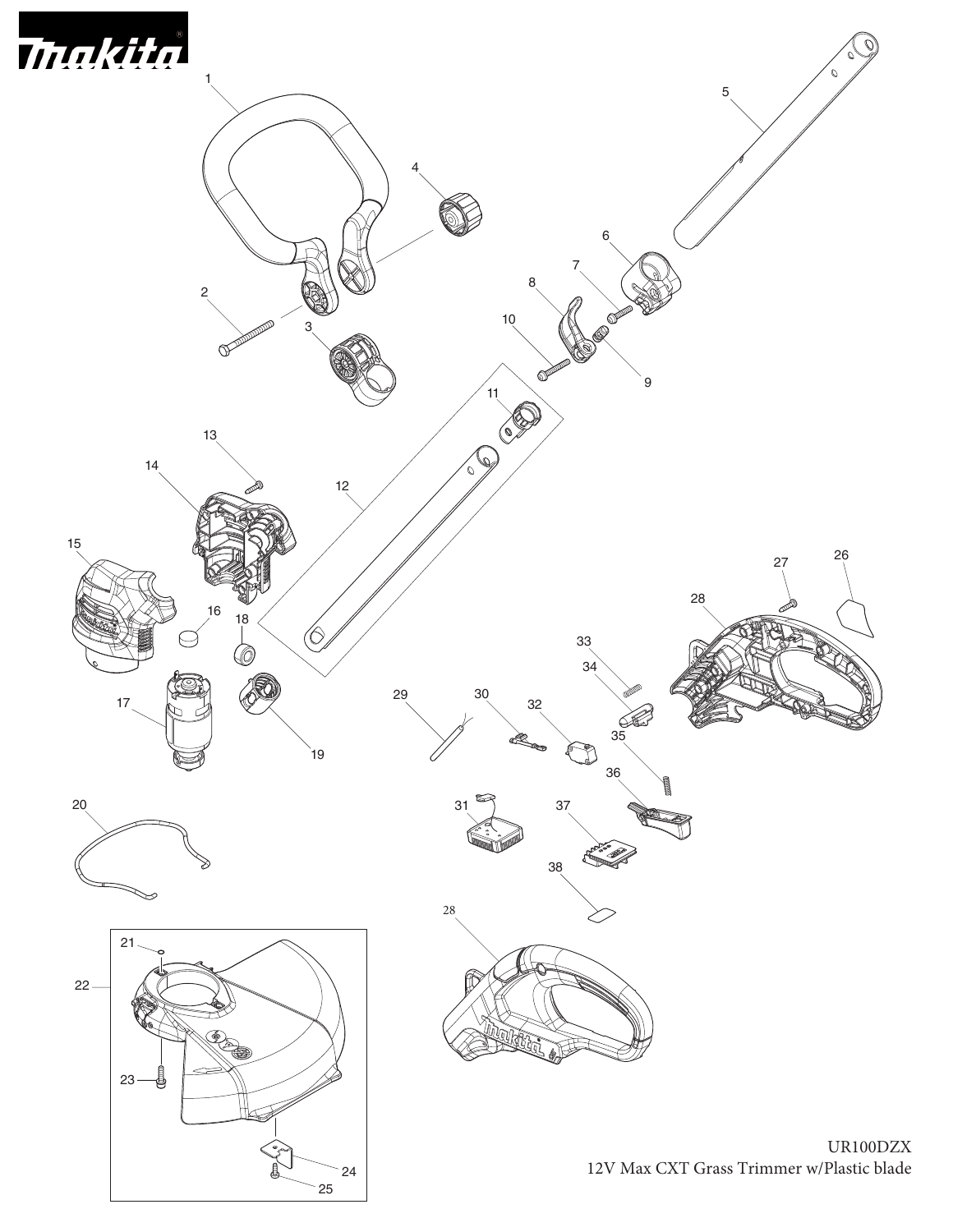